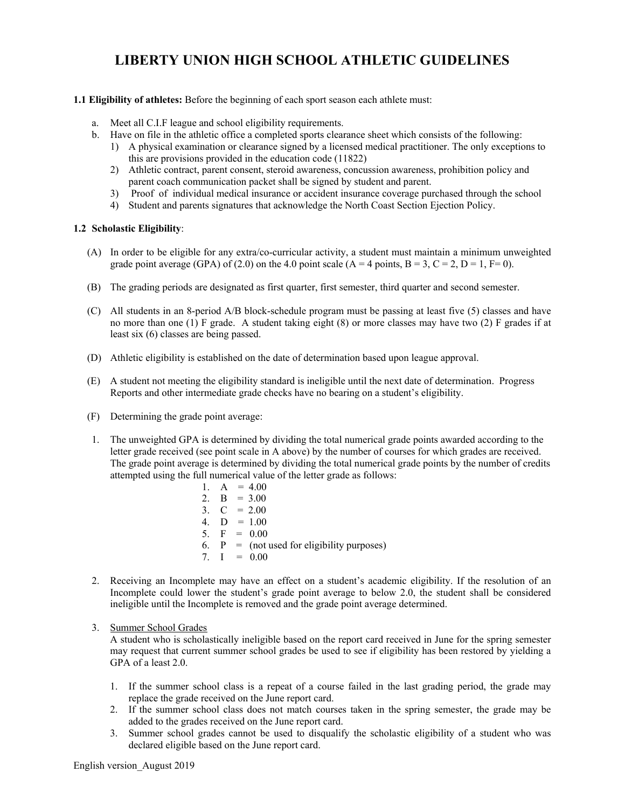# **LIBERTY UNION HIGH SCHOOL ATHLETIC GUIDELINES**

## **1.1 Eligibility of athletes:** Before the beginning of each sport season each athlete must:

- a. Meet all C.I.F league and school eligibility requirements.
- b. Have on file in the athletic office a completed sports clearance sheet which consists of the following:
	- 1) A physical examination or clearance signed by a licensed medical practitioner. The only exceptions to this are provisions provided in the education code (11822)
	- parent coach communication packet shall be signed by student and parent. 2) Athletic contract, parent consent, steroid awareness, concussion awareness, prohibition policy and
	- 3) Proof of individual medical insurance or accident insurance coverage purchased through the school
	- 4) Student and parents signatures that acknowledge the North Coast Section Ejection Policy.

### **1.2 Scholastic Eligibility**:

- (A) In order to be eligible for any extra/co-curricular activity, a student must maintain a minimum unweighted grade point average (GPA) of (2.0) on the 4.0 point scale (A = 4 points, B = 3, C = 2, D = 1, F= 0).
- (B) The grading periods are designated as first quarter, first semester, third quarter and second semester.
- (C) All students in an 8-period A/B block-schedule program must be passing at least five (5) classes and have no more than one (1) F grade. A student taking eight (8) or more classes may have two (2) F grades if at least six (6) classes are being passed.
- (D) Athletic eligibility is established on the date of determination based upon league approval.
- Reports and other intermediate grade checks have no bearing on a student's eligibility. (E) A student not meeting the eligibility standard is ineligible until the next date of determination. Progress
- (F) Determining the grade point average:
- letter grade received (see point scale in A above) by the number of courses for which grades are received. attempted using the full numerical value of the letter grade as follows: 1. The unweighted GPA is determined by dividing the total numerical grade points awarded according to the The grade point average is determined by dividing the total numerical grade points by the number of credits
	- 2.  $B = 3.00$ 3.  $C = 2.00$ 6.  $P = (not used for eligibility purposes)$ 7.  $I = 0.00$ 1.  $A = 4.00$ 4.  $D = 1.00$ 5.  $F = 0.00$
- 2. Receiving an Incomplete may have an effect on a student's academic eligibility. If the resolution of an Incomplete could lower the student's grade point average to below 2.0, the student shall be considered ineligible until the Incomplete is removed and the grade point average determined.
- 3. Summer School Grades

 A student who is scholastically ineligible based on the report card received in June for the spring semester may request that current summer school grades be used to see if eligibility has been restored by yielding a GPA of a least 2.0.

- 1. If the summer school class is a repeat of a course failed in the last grading period, the grade may replace the grade received on the June report card.
- 2. If the summer school class does not match courses taken in the spring semester, the grade may be added to the grades received on the June report card.
- 3. Summer school grades cannot be used to disqualify the scholastic eligibility of a student who was declared eligible based on the June report card.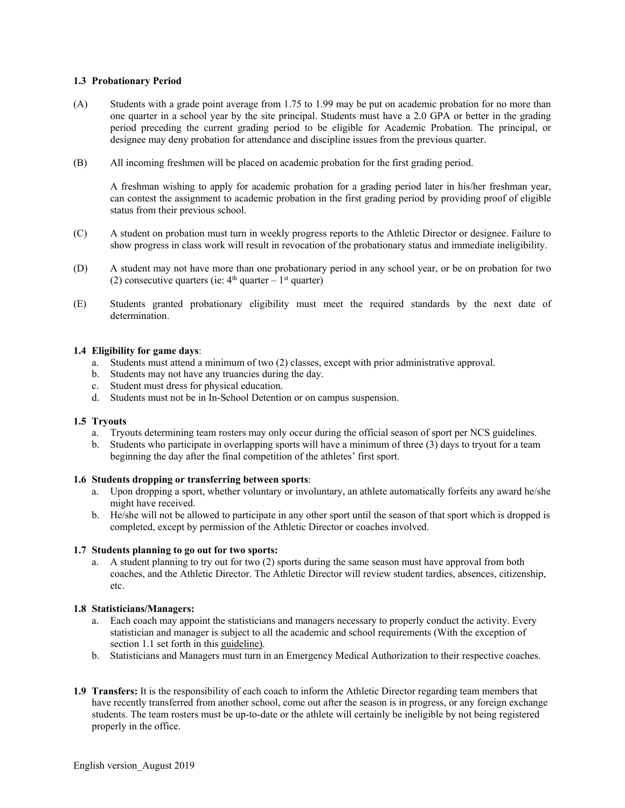# **1.3 Probationary Period**

- (A) Students with a grade point average from 1.75 to 1.99 may be put on academic probation for no more than one quarter in a school year by the site principal. Students must have a 2.0 GPA or better in the grading period preceding the current grading period to be eligible for Academic Probation. The principal, or designee may deny probation for attendance and discipline issues from the previous quarter.
- (B) All incoming freshmen will be placed on academic probation for the first grading period.

 can contest the assignment to academic probation in the first grading period by providing proof of eligible A freshman wishing to apply for academic probation for a grading period later in his/her freshman year, status from their previous school.

- (C) A student on probation must turn in weekly progress reports to the Athletic Director or designee. Failure to show progress in class work will result in revocation of the probationary status and immediate ineligibility.
- (D) A student may not have more than one probationary period in any school year, or be on probation for two (2) consecutive quarters (ie:  $4<sup>th</sup>$  quarter – 1<sup>st</sup> quarter)
- (E) Students granted probationary eligibility must meet the required standards by the next date of determination.

# **1.4 Eligibility for game days**:

- a. Students must attend a minimum of two (2) classes, except with prior administrative approval.
- b. Students may not have any truancies during the day.
- c. Student must dress for physical education.
- d. Students must not be in In-School Detention or on campus suspension.

#### **1.5 Tryouts**

- a. Tryouts determining team rosters may only occur during the official season of sport per NCS guidelines.
- b. Students who participate in overlapping sports will have a minimum of three (3) days to tryout for a team beginning the day after the final competition of the athletes' first sport.

#### **1.6 Students dropping or transferring between sports**:

- might have received. a. Upon dropping a sport, whether voluntary or involuntary, an athlete automatically forfeits any award he/she
- b. He/she will not be allowed to participate in any other sport until the season of that sport which is dropped is completed, except by permission of the Athletic Director or coaches involved.

# **1.7 Students planning to go out for two sports:**

a. A student planning to try out for two  $(2)$  sports during the same season must have approval from both coaches, and the Athletic Director. The Athletic Director will review student tardies, absences, citizenship, etc.

#### **1.8 Statisticians/Managers:**

- a. Each coach may appoint the statisticians and managers necessary to properly conduct the activity. Every section 1.1 set forth in this guideline). statistician and manager is subject to all the academic and school requirements (With the exception of
- b. Statisticians and Managers must turn in an Emergency Medical Authorization to their respective coaches.
- students. The team rosters must be up-to-date or the athlete will certainly be ineligible by not being registered **1.9 Transfers:** It is the responsibility of each coach to inform the Athletic Director regarding team members that have recently transferred from another school, come out after the season is in progress, or any foreign exchange properly in the office.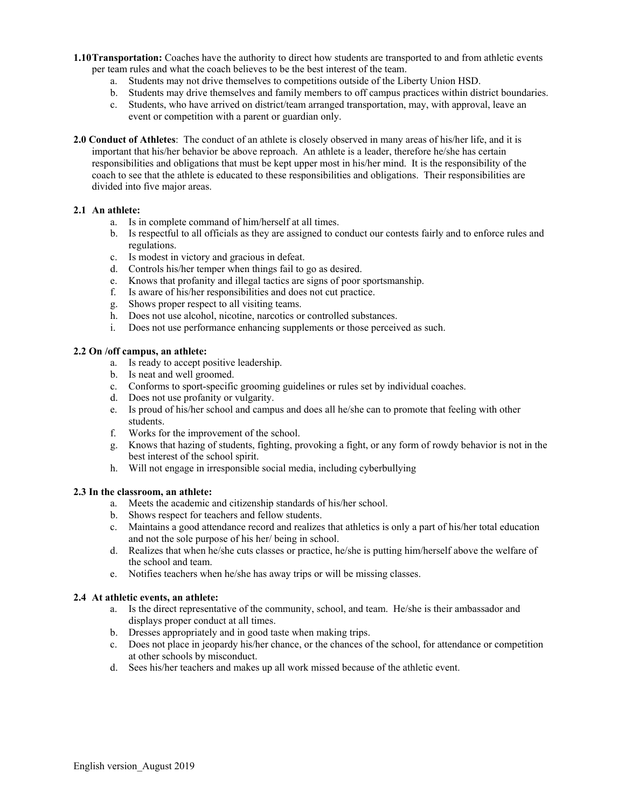- per team rules and what the coach believes to be the best interest of the team. **1.10Transportation:** Coaches have the authority to direct how students are transported to and from athletic events
	- a. Students may not drive themselves to competitions outside of the Liberty Union HSD.
	- b. Students may drive themselves and family members to off campus practices within district boundaries.
	- c. Students, who have arrived on district/team arranged transportation, may, with approval, leave an event or competition with a parent or guardian only.
- **2.0 Conduct of Athletes**: The conduct of an athlete is closely observed in many areas of his/her life, and it is important that his/her behavior be above reproach. An athlete is a leader, therefore he/she has certain divided into five major areas. responsibilities and obligations that must be kept upper most in his/her mind. It is the responsibility of the coach to see that the athlete is educated to these responsibilities and obligations. Their responsibilities are

# **2.1 An athlete:**

- a. Is in complete command of him/herself at all times.
- b. Is respectful to all officials as they are assigned to conduct our contests fairly and to enforce rules and regulations.
- c. Is modest in victory and gracious in defeat.
- d. Controls his/her temper when things fail to go as desired.
- e. Knows that profanity and illegal tactics are signs of poor sportsmanship.
- f. Is aware of his/her responsibilities and does not cut practice.
- g. Shows proper respect to all visiting teams.
- h. Does not use alcohol, nicotine, narcotics or controlled substances.
- i. Does not use performance enhancing supplements or those perceived as such.

# **2.2 On /off campus, an athlete:**

- a. Is ready to accept positive leadership.
- b. Is neat and well groomed.
- c. Conforms to sport-specific grooming guidelines or rules set by individual coaches.
- d. Does not use profanity or vulgarity.
- e. Is proud of his/her school and campus and does all he/she can to promote that feeling with other students.
- f. Works for the improvement of the school.
- g. Knows that hazing of students, fighting, provoking a fight, or any form of rowdy behavior is not in the best interest of the school spirit.
- h. Will not engage in irresponsible social media, including cyberbullying

# **2.3 In the classroom, an athlete:**

- a. Meets the academic and citizenship standards of his/her school.
- b. Shows respect for teachers and fellow students.
- c. Maintains a good attendance record and realizes that athletics is only a part of his/her total education and not the sole purpose of his her/ being in school.
- the school and team. d. Realizes that when he/she cuts classes or practice, he/she is putting him/herself above the welfare of
- e. Notifies teachers when he/she has away trips or will be missing classes.

# **2.4 At athletic events, an athlete:**

- a. Is the direct representative of the community, school, and team. He/she is their ambassador and displays proper conduct at all times.
- b. Dresses appropriately and in good taste when making trips.
- c. Does not place in jeopardy his/her chance, or the chances of the school, for attendance or competition at other schools by misconduct.
- d. Sees his/her teachers and makes up all work missed because of the athletic event.